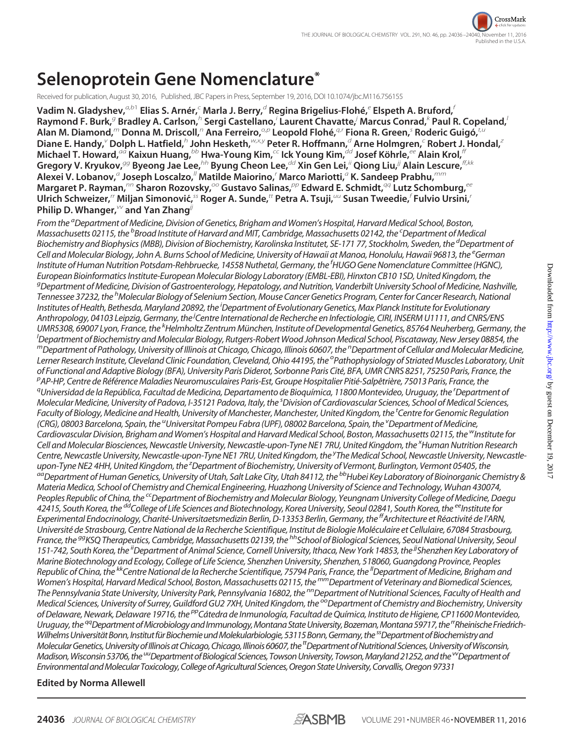Received for publication, August 30, 2016, Published, JBC Papers in Press, September 19, 2016, DOI 10.1074/jbc.M116.756155

**Vadim N. Gladyshev,***a,b*<sup>1</sup> **Elias S. Arnér,***<sup>c</sup>* **Marla J. Berry,***<sup>d</sup>* **Regina Brigelius-Flohé,***<sup>e</sup>* **Elspeth A. Bruford,***<sup>f</sup>* **Raymond F. Burk,***<sup>g</sup>* **Bradley A. Carlson,***<sup>h</sup>* **Sergi Castellano,***<sup>i</sup>* **Laurent Chavatte,***<sup>j</sup>* **Marcus Conrad,***<sup>k</sup>* **Paul R. Copeland,***<sup>l</sup>* **Alan M. Diamond,***<sup>m</sup>* **Donna M. Driscoll,***<sup>n</sup>* **Ana Ferreiro,***o,p* **Leopold Flohé,***q,r* **Fiona R. Green,***<sup>s</sup>* **Roderic Guigó,***t,u*  $D$ iane E. Handy, $^{\vee}$  Dolph L. Hatfield, $^h$  John Hesketh, $^{w \times y}$  Peter R. Hoffmann, $^d$  Arne Holmgren, $^c$  Robert J. Hondal, $^z$ **Michael T. Howard,***aa* **Kaixun Huang,***bb* **Hwa-Young Kim,***cc* **Ick Young Kim,***dd* **Josef Köhrle,***ee* **Alain Krol,***ff* **Gregory V. Kryukov,***gg* **Byeong Jae Lee,***hh* **Byung Cheon Lee,***dd* **Xin Gen Lei,***ii* **Qiong Liu,***jj* **Alain Lescure,***ff,kk* **Alexei V. Lobanov,***<sup>a</sup>* **Joseph Loscalzo,***ll* **Matilde Maiorino,***<sup>r</sup>* **Marco Mariotti,***<sup>a</sup>* **K. Sandeep Prabhu,***mm* **Margaret P. Rayman,***nn* **Sharon Rozovsky,***oo* **Gustavo Salinas,***pp* **Edward E. Schmidt,***qq* **Lutz Schomburg,***ee*  $U$ lrich Schweizer,'' Miljan Simonović, $^{ss}$  Roger A. Sunde, $^{tt}$  Petra A. Tsuji, $^{uu}$  Susan Tweedie, $^f$ Fulvio Ursini, $^f$ **Philip D. Whanger,***vv* **and Yan Zhang***jj*

*From the <sup>a</sup> Department of Medicine, Division of Genetics, Brigham and Women's Hospital, Harvard Medical School, Boston, Massachusetts 02115, the <sup>b</sup> Broad Institute of Harvard and MIT, Cambridge, Massachusetts 02142, the <sup>c</sup> Department of Medical Biochemistry and Biophysics(MBB), Division of Biochemistry, Karolinska Institutet, SE-171 77, Stockholm, Sweden, the <sup>d</sup> Department of Cell and Molecular Biology, John A. Burns School of Medicine, University of Hawaii at Manoa, Honolulu, Hawaii 96813, the <sup>e</sup> German Institute of Human Nutrition Potsdam-Rehbruecke, 14558 Nuthetal, Germany, the <sup>f</sup> HUGO Gene Nomenclature Committee(HGNC), European Bioinformatics Institute-European Molecular Biology Laboratory(EMBL-EBI), Hinxton CB10 1SD, United Kingdom, the g Department of Medicine, Division of Gastroenterology, Hepatology, and Nutrition, Vanderbilt University School of Medicine, Nashville, Tennessee 37232, the <sup>h</sup> Molecular Biology of Selenium Section, Mouse Cancer Genetics Program, Centerfor Cancer Research, National Institutes of Health, Bethesda, Maryland 20892, the <sup>i</sup> Department of Evolutionary Genetics, Max Planck Institutefor Evolutionary Anthropology, 04103 Leipzig, Germany, the <sup>j</sup> Centre International de Recherche en Infectiologie, CIRI, INSERM U1111, and CNRS/ENS UMR5308, 69007 Lyon, France, the <sup>k</sup> Helmholtz Zentrum München, Institute of Developmental Genetics, 85764 Neuherberg, Germany, the l Department of Biochemistry and Molecular Biology, Rutgers-Robert Wood Johnson Medical School, Piscataway, New Jersey 08854, the mDepartment of Pathology, University of Illinois at Chicago, Chicago, Illinois 60607, the <sup>n</sup> Department of Cellular and Molecular Medicine, Lerner Research Institute, Cleveland Clinic Foundation, Cleveland, Ohio 44195, the <sup>o</sup> Pathophysiology of Striated Muscles Laboratory, Unit of Functional and Adaptive Biology(BFA), University Paris Diderot, Sorbonne Paris Cité, BFA, UMR CNRS 8251, 75250 Paris, France, the p AP-HP, Centre de Référence Maladies Neuromusculaires Paris-Est, Groupe Hospitalier Pitié-Salpêtrière, 75013 Paris, France, the q Universidad de la República, Facultad de Medicina, Departamento de Bioquímica, 11800 Montevideo, Uruguay, the <sup>r</sup> Department of* Molecular Medicine, University of Padova, I-35121 Padova, Italy, the <sup>s</sup>Division of Cardiovascular Sciences, School of Medical Sciences, *Faculty of Biology, Medicine and Health, University of Manchester, Manchester, United Kingdom, the <sup>t</sup> Centrefor Genomic Regulation (CRG), 08003 Barcelona, Spain, the <sup>u</sup> Universitat Pompeu Fabra(UPF), 08002 Barcelona, Spain, the <sup>v</sup> Department of Medicine, Cardiovascular Division, Brigham and Women's Hospital and Harvard Medical School, Boston, Massachusetts 02115, the wInstitutefor Cell and Molecular Biosciences, Newcastle University, Newcastle-upon-Tyne NE1 7RU, United Kingdom, the <sup>x</sup> Human Nutrition Research* Centre, Newcastle University, Newcastle-upon-Tyne NE1 7RU, United Kingdom, the <sup>y</sup>The Medical School, Newcastle University, Newcastleupon-Tyne NE2 4HH, United Kingdom, the <sup>z</sup>Department of Biochemistry, University of Vermont, Burlington, Vermont 05405, the <sup>aa</sup> Department of Human Genetics, University of Utah, Salt Lake City, Utah 84112, the <sup>bb</sup>Hubei Key Laboratory of Bioinorganic Chemistry & *Materia Medica, School of Chemistry and Chemical Engineering, Huazhong University of Science and Technology, Wuhan 430074, Peoples Republic of China, the ccDepartment of Biochemistry and Molecular Biology, Yeungnam University College of Medicine, Daegu 42415, South Korea, the ddCollege of Life Sciences and Biotechnology, Korea University, Seoul 02841, South Korea, the eeInstitutefor Experimental Endocrinology, Charité-Universitaetsmedizin Berlin, D-13353 Berlin, Germany, the ffArchitecture et Réactivité de l'ARN, Université de Strasbourg, Centre National de la Recherche Scientifique, Institut de Biologie Moléculaire et Cellulaire, 67084 Strasbourg, France, the ggKSQ Therapeutics, Cambridge, Massachusetts 02139, the hhSchool of Biological Sciences, Seoul National University, Seoul 151-742, South Korea, the iiDepartment of Animal Science, Cornell University, Ithaca, New York 14853, the jjShenzhen Key Laboratory of Marine Biotechnology and Ecology, College of Life Science, Shenzhen University, Shenzhen, 518060, Guangdong Province, Peoples Republic of China, the kkCentre National de la Recherche Scientifique, 75794 Paris, France, the llDepartment of Medicine, Brigham and Women's Hospital, Harvard Medical School, Boston, Massachusetts 02115, the mmDepartment of Veterinary and Biomedical Sciences, The Pennsylvania State University, University Park, Pennsylvania 16802, the nnDepartment of Nutritional Sciences, Faculty of Health and* Medical Sciences, University of Surrey, Guildford GU2 7XH, United Kingdom, the<sup>oo</sup>Department of Chemistry and Biochemistry, University *of Delaware, Newark, Delaware 19716, the ppCátedra de Inmunología, Facultad de Química, Instituto de Higiene, CP11600 Montevideo,* Uruguay, the <sup>qq</sup>Department of Microbiology and Immunology, Montana State University, Bozeman, Montana 59717, the <sup>rr</sup>Rheinische Friedrich-*WilhelmsUniversitätBonn,InstitutfürBiochemieundMolekularbiologie,53115Bonn,Germany, thessDepartmentofBiochemistryand MolecularGenetics,UniversityofIllinoisatChicago,Chicago,Illinois60607, thettDepartmentofNutritionalSciences,UniversityofWisconsin, Madison,Wisconsin53706, the uuDepartmentofBiologicalSciences,TowsonUniversity,Towson,Maryland21252,and the vvDepartmentof EnvironmentalandMolecularToxicology,CollegeofAgriculturalSciences,OregonStateUniversity,Corvallis,Oregon 97331*

# **Edited by Norma Allewell**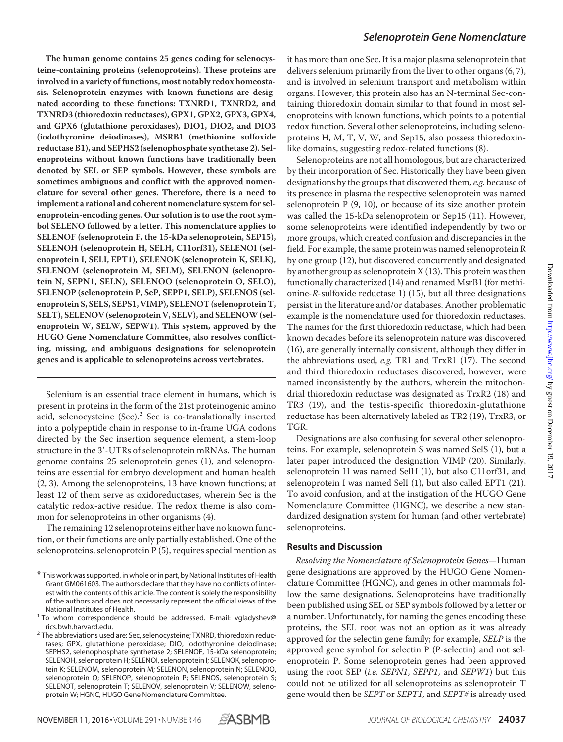**The human genome contains 25 genes coding for selenocysteine-containing proteins (selenoproteins). These proteins are involved in a variety of functions, most notably redox homeostasis. Selenoprotein enzymes with known functions are designated according to these functions: TXNRD1, TXNRD2, and TXNRD3 (thioredoxin reductases), GPX1, GPX2, GPX3, GPX4, and GPX6 (glutathione peroxidases), DIO1, DIO2, and DIO3 (iodothyronine deiodinases), MSRB1 (methionine sulfoxide reductase B1), and SEPHS2 (selenophosphate synthetase 2). Selenoproteins without known functions have traditionally been denoted by SEL or SEP symbols. However, these symbols are sometimes ambiguous and conflict with the approved nomenclature for several other genes. Therefore, there is a need to implement a rational and coherent nomenclature system for selenoprotein-encoding genes. Our solution is to use the root symbol SELENO followed by a letter. This nomenclature applies to SELENOF (selenoprotein F, the 15-kDa selenoprotein, SEP15), SELENOH (selenoprotein H, SELH, C11orf31), SELENOI (selenoprotein I, SELI, EPT1), SELENOK (selenoprotein K, SELK), SELENOM (selenoprotein M, SELM), SELENON (selenoprotein N, SEPN1, SELN), SELENOO (selenoprotein O, SELO), SELENOP (selenoprotein P, SeP, SEPP1, SELP), SELENOS (selenoprotein S, SELS, SEPS1, VIMP), SELENOT (selenoprotein T, SELT), SELENOV (selenoprotein V, SELV), and SELENOW (selenoprotein W, SELW, SEPW1). This system, approved by the HUGO Gene Nomenclature Committee, also resolves conflicting, missing, and ambiguous designations for selenoprotein genes and is applicable to selenoproteins across vertebrates.**

Selenium is an essential trace element in humans, which is present in proteins in the form of the 21st proteinogenic amino acid, selenocysteine (Sec).<sup>2</sup> Sec is co-translationally inserted into a polypeptide chain in response to in-frame UGA codons directed by the Sec insertion sequence element, a stem-loop structure in the 3--UTRs of selenoprotein mRNAs. The human genome contains 25 selenoprotein genes (1), and selenoproteins are essential for embryo development and human health (2, 3). Among the selenoproteins, 13 have known functions; at least 12 of them serve as oxidoreductases, wherein Sec is the catalytic redox-active residue. The redox theme is also common for selenoproteins in other organisms (4).

The remaining 12 selenoproteins either have no known function, or their functions are only partially established. One of the selenoproteins, selenoprotein P (5), requires special mention as it has more than one Sec. It is a major plasma selenoprotein that delivers selenium primarily from the liver to other organs (6, 7), and is involved in selenium transport and metabolism within organs. However, this protein also has an N-terminal Sec-containing thioredoxin domain similar to that found in most selenoproteins with known functions, which points to a potential redox function. Several other selenoproteins, including selenoproteins H, M, T, V, W, and Sep15, also possess thioredoxinlike domains, suggesting redox-related functions (8).

Selenoproteins are not all homologous, but are characterized by their incorporation of Sec. Historically they have been given designations by the groups that discovered them, *e.g.* because of its presence in plasma the respective selenoprotein was named selenoprotein  $P(9, 10)$ , or because of its size another protein was called the 15-kDa selenoprotein or Sep15 (11). However, some selenoproteins were identified independently by two or more groups, which created confusion and discrepancies in the field. For example, the same protein was named selenoprotein R by one group (12), but discovered concurrently and designated by another group as selenoprotein  $X(13)$ . This protein was then functionally characterized (14) and renamed MsrB1 (for methionine-*R*-sulfoxide reductase 1) (15), but all three designations persist in the literature and/or databases. Another problematic example is the nomenclature used for thioredoxin reductases. The names for the first thioredoxin reductase, which had been known decades before its selenoprotein nature was discovered (16), are generally internally consistent, although they differ in the abbreviations used, *e.g.* TR1 and TrxR1 (17). The second and third thioredoxin reductases discovered, however, were named inconsistently by the authors, wherein the mitochondrial thioredoxin reductase was designated as TrxR2 (18) and TR3 (19), and the testis-specific thioredoxin-glutathione reductase has been alternatively labeled as TR2 (19), TrxR3, or TGR.

Designations are also confusing for several other selenoproteins. For example, selenoprotein S was named SelS (1), but a later paper introduced the designation VIMP (20). Similarly, selenoprotein H was named SelH (1), but also C11orf31, and selenoprotein I was named SelI (1), but also called EPT1 (21). To avoid confusion, and at the instigation of the HUGO Gene Nomenclature Committee (HGNC), we describe a new standardized designation system for human (and other vertebrate) selenoproteins.

## **Results and Discussion**

*Resolving the Nomenclature of Selenoprotein Genes—*Human gene designations are approved by the HUGO Gene Nomenclature Committee (HGNC), and genes in other mammals follow the same designations. Selenoproteins have traditionally been published using SEL or SEP symbols followed by a letter or a number. Unfortunately, for naming the genes encoding these proteins, the SEL root was not an option as it was already approved for the selectin gene family; for example, *SELP* is the approved gene symbol for selectin P (P-selectin) and not selenoprotein P. Some selenoprotein genes had been approved using the root SEP (*i.e. SEPN1*, *SEPP1*, and *SEPW1*) but this could not be utilized for all selenoproteins as selenoprotein T gene would then be *SEPT* or *SEPT1*, and *SEPT#* is already used



<sup>\*</sup> This work was supported, in whole or in part, by National Institutes of Health Grant GM061603. The authors declare that they have no conflicts of interest with the contents of this article. The content is solely the responsibility of the authors and does not necessarily represent the official views of the

National Institutes of Health. 1 To whom correspondence should be addressed. E-mail: [vgladyshev@](mailto:vgladyshev@rics.bwh.harvard.edu)

[rics.bwh.harvard.edu.](mailto:vgladyshev@rics.bwh.harvard.edu) <sup>2</sup> The abbreviations used are: Sec, selenocysteine; TXNRD, thioredoxin reductases; GPX, glutathione peroxidase; DIO, iodothyronine deiodinase; SEPHS2, selenophosphate synthetase 2; SELENOF, 15-kDa selenoprotein; SELENOH, selenoprotein H; SELENOI, selenoprotein I; SELENOK, selenoprotein K; SELENOM, selenoprotein M; SELENON, selenoprotein N; SELENOO, selenoprotein O; SELENOP, selenoprotein P; SELENOS, selenoprotein S; SELENOT, selenoprotein T; SELENOV, selenoprotein V; SELENOW, selenoprotein W; HGNC, HUGO Gene Nomenclature Committee.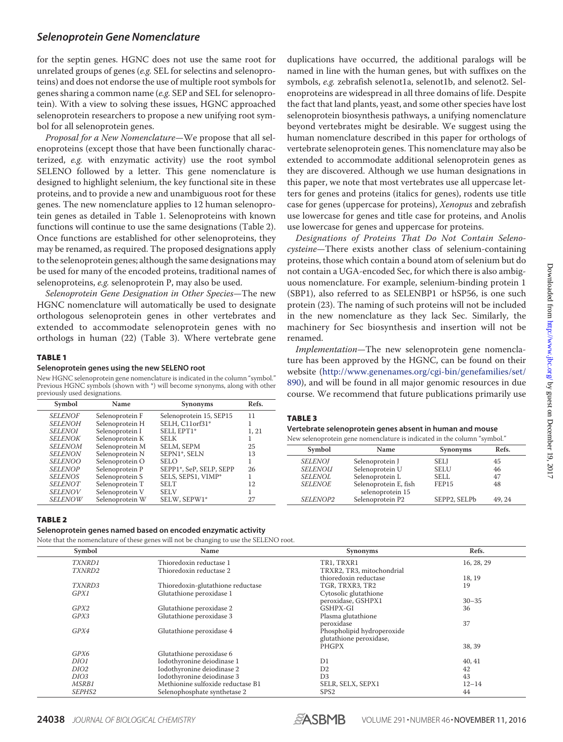for the septin genes. HGNC does not use the same root for unrelated groups of genes (*e.g.* SEL for selectins and selenoproteins) and does not endorse the use of multiple root symbols for genes sharing a common name (*e.g.* SEP and SEL for selenoprotein). With a view to solving these issues, HGNC approached selenoprotein researchers to propose a new unifying root symbol for all selenoprotein genes.

*Proposal for a New Nomenclature—*We propose that all selenoproteins (except those that have been functionally characterized, *e.g.* with enzymatic activity) use the root symbol SELENO followed by a letter. This gene nomenclature is designed to highlight selenium, the key functional site in these proteins, and to provide a new and unambiguous root for these genes. The new nomenclature applies to 12 human selenoprotein genes as detailed in Table 1. Selenoproteins with known functions will continue to use the same designations (Table 2). Once functions are established for other selenoproteins, they may be renamed, as required. The proposed designations apply to the selenoprotein genes; although the same designations may be used for many of the encoded proteins, traditional names of selenoproteins, *e.g.* selenoprotein P, may also be used.

*Selenoprotein Gene Designation in Other Species—*The new HGNC nomenclature will automatically be used to designate orthologous selenoprotein genes in other vertebrates and extended to accommodate selenoprotein genes with no orthologs in human (22) (Table 3). Where vertebrate gene

#### TABLE 1

#### **Selenoprotein genes using the new SELENO root**

New HGNC selenoprotein gene nomenclature is indicated in the column "symbol." Previous HGNC symbols (shown with \*) will become synonyms, along with other previously used designations.

| Symbol         | Name            | <b>Synonyms</b>         | Refs. |
|----------------|-----------------|-------------------------|-------|
| <b>SELENOF</b> | Selenoprotein F | Selenoprotein 15, SEP15 | 11    |
| <b>SELENOH</b> | Selenoprotein H | SELH, C11orf31*         |       |
| <b>SELENOI</b> | Selenoprotein I | SELI, EPT1*             | 1, 21 |
| <b>SELENOK</b> | Selenoprotein K | <b>SELK</b>             |       |
| <b>SELENOM</b> | Selenoprotein M | SELM, SEPM              | 25    |
| <b>SELENON</b> | Selenoprotein N | SEPN1*, SELN            | 13    |
| <i>SELENOO</i> | Selenoprotein O | <b>SELO</b>             |       |
| <b>SELENOP</b> | Selenoprotein P | SEPP1*, SeP, SELP, SEPP | 26    |
| <b>SELENOS</b> | Selenoprotein S | SELS, SEPS1, VIMP*      |       |
| <b>SELENOT</b> | Selenoprotein T | <b>SELT</b>             | 12    |
| <b>SELENOV</b> | Selenoprotein V | <b>SELV</b>             |       |
| <b>SELENOW</b> | Selenoprotein W | SELW, SEPW1*            | 27    |

TABLE 2

## **Selenoprotein genes named based on encoded enzymatic activity**

Note that the nomenclature of these genes will not be changing to use the SELENO root.

| Symbol           | Name                              | <b>Synonyms</b>            | Refs.      |
|------------------|-----------------------------------|----------------------------|------------|
| TXNRD1           | Thioredoxin reductase 1           | TR1, TRXR1                 | 16, 28, 29 |
| TXNRD2           | Thioredoxin reductase 2           | TRXR2, TR3, mitochondrial  |            |
|                  |                                   | thioredoxin reductase      | 18, 19     |
| <i>TXNRD3</i>    | Thioredoxin-glutathione reductase | TGR, TRXR3, TR2            | 19         |
| GPX1             | Glutathione peroxidase 1          | Cytosolic glutathione      |            |
|                  |                                   | peroxidase, GSHPX1         | $30 - 35$  |
| GPX2             | Glutathione peroxidase 2          | GSHPX-GI                   | 36         |
| GPX3             | Glutathione peroxidase 3          | Plasma glutathione         |            |
|                  |                                   | peroxidase                 | 37         |
| GPX4             | Glutathione peroxidase 4          | Phospholipid hydroperoxide |            |
|                  |                                   | glutathione peroxidase,    |            |
|                  |                                   | PHGPX                      | 38, 39     |
| GPX6             | Glutathione peroxidase 6          |                            |            |
| DIO1             | Iodothyronine deiodinase 1        | D1                         | 40, 41     |
| DIO <sub>2</sub> | Iodothyronine deiodinase 2        | D2                         | 42         |
| DIO <sub>3</sub> | Iodothyronine deiodinase 3        | D <sub>3</sub>             | 43         |
| MSRB1            | Methionine sulfoxide reductase B1 | SELR, SELX, SEPX1          | $12 - 14$  |
| SEPHS2           | Selenophosphate synthetase 2      | SPS <sub>2</sub>           | 44         |

duplications have occurred, the additional paralogs will be named in line with the human genes, but with suffixes on the symbols, *e.g.* zebrafish selenot1a, selenot1b, and selenot2. Selenoproteins are widespread in all three domains of life. Despite the fact that land plants, yeast, and some other species have lost selenoprotein biosynthesis pathways, a unifying nomenclature beyond vertebrates might be desirable. We suggest using the human nomenclature described in this paper for orthologs of vertebrate selenoprotein genes. This nomenclature may also be extended to accommodate additional selenoprotein genes as they are discovered. Although we use human designations in this paper, we note that most vertebrates use all uppercase letters for genes and proteins (italics for genes), rodents use title case for genes (uppercase for proteins), *Xenopus* and zebrafish use lowercase for genes and title case for proteins, and Anolis use lowercase for genes and uppercase for proteins.

*Designations of Proteins That Do Not Contain Selenocysteine—*There exists another class of selenium-containing proteins, those which contain a bound atom of selenium but do not contain a UGA-encoded Sec, for which there is also ambiguous nomenclature. For example, selenium-binding protein 1 (SBP1), also referred to as SELENBP1 or hSP56, is one such protein (23). The naming of such proteins will not be included in the new nomenclature as they lack Sec. Similarly, the machinery for Sec biosynthesis and insertion will not be renamed.

*Implementation—*The new selenoprotein gene nomenclature has been approved by the HGNC, can be found on their website (http://www.genenames.org/cgi-bin/genefamilies/set/ 890), and will be found in all major genomic resources in due course. We recommend that future publications primarily use

## TABLE 3

#### **Vertebrate selenoprotein genes absent in human and mouse**

| Symbol         | Name                                      | <b>Synonyms</b> | Refs. |
|----------------|-------------------------------------------|-----------------|-------|
| <b>SELENOI</b> | Selenoprotein J                           | <b>SELJ</b>     | 45    |
| <b>SELENOU</b> | Selenoprotein U                           | <b>SELU</b>     | 46    |
| <b>SELENOL</b> | Selenoprotein L                           | <b>SELL</b>     | 47    |
| <b>SELENOE</b> | Selenoprotein E, fish<br>selenoprotein 15 | FEP15           | 48    |
| SELENOP2       | Selenoprotein P2                          | SEPP2, SELPb    | 49.24 |

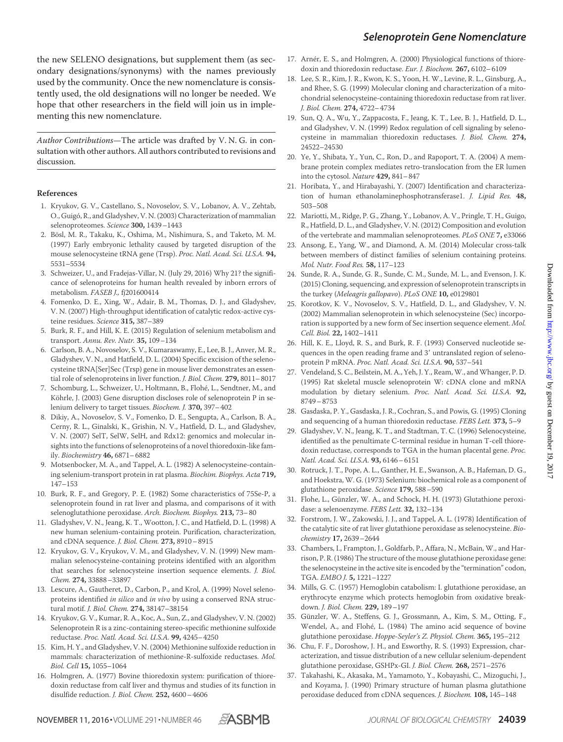the new SELENO designations, but supplement them (as secondary designations/synonyms) with the names previously used by the community. Once the new nomenclature is consistently used, the old designations will no longer be needed. We hope that other researchers in the field will join us in implementing this new nomenclature.

*Author Contributions*—The article was drafted by V. N. G. in consultation with other authors. All authors contributed to revisions and discussion.

#### **References**

- 1. Kryukov, G. V., Castellano, S., Novoselov, S. V., Lobanov, A. V., Zehtab, O., Guigó, R., and Gladyshev, V. N. (2003) Characterization of mammalian selenoproteomes. *Science* **300,** 1439–1443
- 2. Bösl, M. R., Takaku, K., Oshima, M., Nishimura, S., and Taketo, M. M. (1997) Early embryonic lethality caused by targeted disruption of the mouse selenocysteine tRNA gene (Trsp). *Proc. Natl. Acad. Sci. U.S.A.* **94,** 5531–5534
- 3. Schweizer, U., and Fradejas-Villar, N. (July 29, 2016) Why 21? the significance of selenoproteins for human health revealed by inborn errors of metabolism. *FASEB J.,* fj201600414
- 4. Fomenko, D. E., Xing, W., Adair, B. M., Thomas, D. J., and Gladyshev, V. N. (2007) High-throughput identification of catalytic redox-active cysteine residues. *Science* **315,** 387–389
- 5. Burk, R. F., and Hill, K. E. (2015) Regulation of selenium metabolism and transport. *Annu. Rev. Nutr.* **35,** 109–134
- 6. Carlson, B. A., Novoselov, S. V., Kumaraswamy, E., Lee, B. J., Anver, M. R., Gladyshev, V. N., and Hatfield, D. L. (2004) Specific excision of the selenocysteine tRNA[Ser]Sec (Trsp) gene in mouse liver demonstrates an essential role of selenoproteins in liver function. *J. Biol. Chem.* **279,** 8011–8017
- 7. Schomburg, L., Schweizer, U., Holtmann, B., Flohé, L., Sendtner, M., and Köhrle, J. (2003) Gene disruption discloses role of selenoprotein P in selenium delivery to target tissues. *Biochem. J.* **370,** 397–402
- 8. Dikiy, A., Novoselov, S. V., Fomenko, D. E., Sengupta, A., Carlson, B. A., Cerny, R. L., Ginalski, K., Grishin, N. V., Hatfield, D. L., and Gladyshev, V. N. (2007) SelT, SelW, SelH, and Rdx12: genomics and molecular insights into the functions of selenoproteins of a novel thioredoxin-like family. *Biochemistry* **46,** 6871–6882
- 9. Motsenbocker, M. A., and Tappel, A. L. (1982) A selenocysteine-containing selenium-transport protein in rat plasma. *Biochim. Biophys. Acta* **719,** 147–153
- 10. Burk, R. F., and Gregory, P. E. (1982) Some characteristics of 75Se-P, a selenoprotein found in rat liver and plasma, and comparisons of it with selenoglutathione peroxidase. *Arch. Biochem. Biophys.* **213,** 73–80
- 11. Gladyshev, V. N., Jeang, K. T., Wootton, J. C., and Hatfield, D. L. (1998) A new human selenium-containing protein. Purification, characterization, and cDNA sequence. *J. Biol. Chem.* **273,** 8910–8915
- 12. Kryukov, G. V., Kryukov, V. M., and Gladyshev, V. N. (1999) New mammalian selenocysteine-containing proteins identified with an algorithm that searches for selenocysteine insertion sequence elements. *J. Biol. Chem.* **274,** 33888–33897
- 13. Lescure, A., Gautheret, D., Carbon, P., and Krol, A. (1999) Novel selenoproteins identified *in silico* and *in vivo* by using a conserved RNA structural motif. *J. Biol. Chem.* **274,** 38147–38154
- 14. Kryukov, G. V., Kumar, R. A., Koc, A., Sun, Z., and Gladyshev, V. N. (2002) Selenoprotein R is a zinc-containing stereo-specific methionine sulfoxide reductase. *Proc. Natl. Acad. Sci. U.S.A.* **99,** 4245–4250
- 15. Kim, H. Y., and Gladyshev, V. N. (2004) Methionine sulfoxide reduction in mammals: characterization of methionine-R-sulfoxide reductases. *Mol. Biol. Cell* **15,** 1055–1064
- 16. Holmgren, A. (1977) Bovine thioredoxin system: purification of thioredoxin reductase from calf liver and thymus and studies of its function in disulfide reduction. *J. Biol. Chem.* **252,** 4600–4606
- 17. Arnér, E. S., and Holmgren, A. (2000) Physiological functions of thioredoxin and thioredoxin reductase. *Eur. J. Biochem.* **267,** 6102–6109
- 18. Lee, S. R., Kim, J. R., Kwon, K. S., Yoon, H. W., Levine, R. L., Ginsburg, A., and Rhee, S. G. (1999) Molecular cloning and characterization of a mitochondrial selenocysteine-containing thioredoxin reductase from rat liver. *J. Biol. Chem.* **274,** 4722–4734
- 19. Sun, Q. A., Wu, Y., Zappacosta, F., Jeang, K. T., Lee, B. J., Hatfield, D. L., and Gladyshev, V. N. (1999) Redox regulation of cell signaling by selenocysteine in mammalian thioredoxin reductases. *J. Biol. Chem.* **274,** 24522–24530
- 20. Ye, Y., Shibata, Y., Yun, C., Ron, D., and Rapoport, T. A. (2004) A membrane protein complex mediates retro-translocation from the ER lumen into the cytosol. *Nature* **429,** 841–847
- 21. Horibata, Y., and Hirabayashi, Y. (2007) Identification and characterization of human ethanolaminephosphotransferase1. *J. Lipid Res.* **48,** 503–508
- 22. Mariotti, M., Ridge, P. G., Zhang, Y., Lobanov, A. V., Pringle, T. H., Guigo, R., Hatfield, D. L., and Gladyshev, V. N. (2012) Composition and evolution of the vertebrate and mammalian selenoproteomes. *PLoS ONE* **7,** e33066
- 23. Ansong, E., Yang, W., and Diamond, A. M. (2014) Molecular cross-talk between members of distinct families of selenium containing proteins. *Mol. Nutr. Food Res.* **58,** 117–123
- 24. Sunde, R. A., Sunde, G. R., Sunde, C. M., Sunde, M. L., and Evenson, J. K. (2015) Cloning, sequencing, and expression of selenoprotein transcripts in the turkey (*Meleagris gallopavo*). *PLoS ONE* **10,** e0129801
- 25. Korotkov, K. V., Novoselov, S. V., Hatfield, D. L., and Gladyshev, V. N. (2002) Mammalian selenoprotein in which selenocysteine (Sec) incorporation is supported by a new form of Sec insertion sequence element. *Mol. Cell. Biol.* **22,** 1402–1411
- 26. Hill, K. E., Lloyd, R. S., and Burk, R. F. (1993) Conserved nucleotide sequences in the open reading frame and 3' untranslated region of selenoprotein P mRNA. *Proc. Natl. Acad. Sci. U.S.A.* **90,** 537–541
- 27. Vendeland, S. C., Beilstein, M. A., Yeh, J. Y., Ream, W., and Whanger, P. D. (1995) Rat skeletal muscle selenoprotein W: cDNA clone and mRNA modulation by dietary selenium. *Proc. Natl. Acad. Sci. U.S.A.* **92,** 8749–8753
- 28. Gasdaska, P. Y., Gasdaska, J. R., Cochran, S., and Powis, G. (1995) Cloning and sequencing of a human thioredoxin reductase. *FEBS Lett.* **373,** 5–9
- 29. Gladyshev, V. N., Jeang, K. T., and Stadtman, T. C. (1996) Selenocysteine, identified as the penultimate C-terminal residue in human T-cell thioredoxin reductase, corresponds to TGA in the human placental gene. *Proc. Natl. Acad. Sci. U.S.A.* **93,** 6146–6151
- 30. Rotruck, J. T., Pope, A. L., Ganther, H. E., Swanson, A. B., Hafeman, D. G., and Hoekstra, W. G. (1973) Selenium: biochemical role as a component of glutathione peroxidase. *Science* **179,** 588–590
- 31. Flohe, L., Günzler, W. A., and Schock, H. H. (1973) Glutathione peroxidase: a selenoenzyme. *FEBS Lett.* **32,** 132–134
- 32. Forstrom, J. W., Zakowski, J. J., and Tappel, A. L. (1978) Identification of the catalytic site of rat liver glutathione peroxidase as selenocysteine. *Biochemistry* **17,** 2639–2644
- 33. Chambers, I., Frampton, J., Goldfarb, P., Affara, N., McBain, W., and Harrison, P. R. (1986) The structure of the mouse glutathione peroxidase gene: the selenocysteine in the active site is encoded by the "termination" codon, TGA. *EMBO J.* **5,** 1221–1227
- 34. Mills, G. C. (1957) Hemoglobin catabolism: I. glutathione peroxidase, an erythrocyte enzyme which protects hemoglobin from oxidative breakdown. *J. Biol. Chem.* **229,** 189–197
- 35. Günzler, W. A., Steffens, G. J., Grossmann, A., Kim, S. M., Otting, F., Wendel, A., and Flohé, L. (1984) The amino acid sequence of bovine glutathione peroxidase. *Hoppe-Seyler's Z. Physiol. Chem.* **365,** 195–212
- 36. Chu, F. F., Doroshow, J. H., and Esworthy, R. S. (1993) Expression, characterization, and tissue distribution of a new cellular selenium-dependent glutathione peroxidase, GSHPx-GI. *J. Biol. Chem.* **268,** 2571–2576
- 37. Takahashi, K., Akasaka, M., Yamamoto, Y., Kobayashi, C., Mizoguchi, J., and Koyama, J. (1990) Primary structure of human plasma glutathione peroxidase deduced from cDNA sequences. *J. Biochem.* **108,** 145–148

# *Selenoprotein Gene Nomenclature*

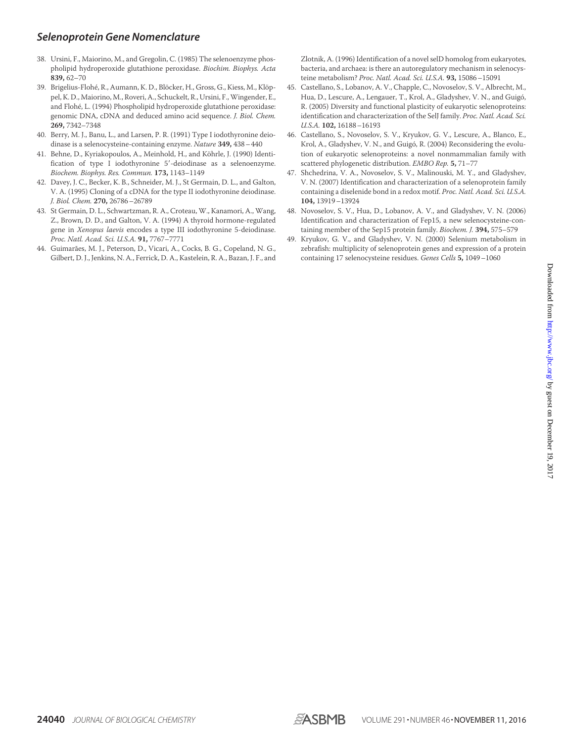- 38. Ursini, F., Maiorino, M., and Gregolin, C. (1985) The selenoenzyme phospholipid hydroperoxide glutathione peroxidase. *Biochim. Biophys. Acta* **839,** 62–70
- 39. Brigelius-Flohé, R., Aumann, K. D., Blöcker, H., Gross, G., Kiess, M., Klöppel, K. D., Maiorino, M., Roveri, A., Schuckelt, R., Ursini, F.,Wingender, E., and Flohé, L. (1994) Phospholipid hydroperoxide glutathione peroxidase: genomic DNA, cDNA and deduced amino acid sequence. *J. Biol. Chem.* **269,** 7342–7348
- 40. Berry, M. J., Banu, L., and Larsen, P. R. (1991) Type I iodothyronine deiodinase is a selenocysteine-containing enzyme. *Nature* **349,** 438–440
- 41. Behne, D., Kyriakopoulos, A., Meinhold, H., and Köhrle, J. (1990) Identification of type I iodothyronine 5'-deiodinase as a selenoenzyme. *Biochem. Biophys. Res. Commun.* **173,** 1143–1149
- 42. Davey, J. C., Becker, K. B., Schneider, M. J., St Germain, D. L., and Galton, V. A. (1995) Cloning of a cDNA for the type II iodothyronine deiodinase. *J. Biol. Chem.* **270,** 26786–26789
- 43. St Germain, D. L., Schwartzman, R. A., Croteau, W., Kanamori, A., Wang, Z., Brown, D. D., and Galton, V. A. (1994) A thyroid hormone-regulated gene in *Xenopus laevis* encodes a type III iodothyronine 5-deiodinase. *Proc. Natl. Acad. Sci. U.S.A.* **91,** 7767–7771
- 44. Guimarães, M. J., Peterson, D., Vicari, A., Cocks, B. G., Copeland, N. G., Gilbert, D. J., Jenkins, N. A., Ferrick, D. A., Kastelein, R. A., Bazan, J. F., and

Zlotnik, A. (1996) Identification of a novel selD homolog from eukaryotes, bacteria, and archaea: is there an autoregulatory mechanism in selenocysteine metabolism? *Proc. Natl. Acad. Sci. U.S.A.* **93,** 15086–15091

- 45. Castellano, S., Lobanov, A. V., Chapple, C., Novoselov, S. V., Albrecht, M., Hua, D., Lescure, A., Lengauer, T., Krol, A., Gladyshev, V. N., and Guigó, R. (2005) Diversity and functional plasticity of eukaryotic selenoproteins: identification and characterization of the SelJ family. *Proc. Natl. Acad. Sci. U.S.A.* **102,** 16188–16193
- 46. Castellano, S., Novoselov, S. V., Kryukov, G. V., Lescure, A., Blanco, E., Krol, A., Gladyshev, V. N., and Guigó, R. (2004) Reconsidering the evolution of eukaryotic selenoproteins: a novel nonmammalian family with scattered phylogenetic distribution. *EMBO Rep.* **5,** 71–77
- 47. Shchedrina, V. A., Novoselov, S. V., Malinouski, M. Y., and Gladyshev, V. N. (2007) Identification and characterization of a selenoprotein family containing a diselenide bond in a redox motif. *Proc. Natl. Acad. Sci. U.S.A.* **104,** 13919–13924
- 48. Novoselov, S. V., Hua, D., Lobanov, A. V., and Gladyshev, V. N. (2006) Identification and characterization of Fep15, a new selenocysteine-containing member of the Sep15 protein family. *Biochem. J.* **394,** 575–579
- 49. Kryukov, G. V., and Gladyshev, V. N. (2000) Selenium metabolism in zebrafish: multiplicity of selenoprotein genes and expression of a protein containing 17 selenocysteine residues. *Genes Cells* **5,** 1049–1060